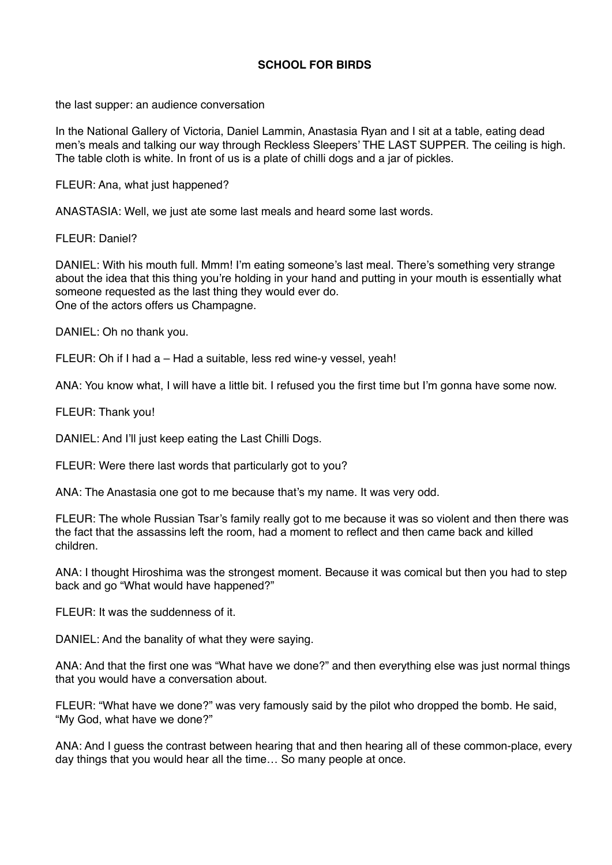## **SCHOOL FOR BIRDS**

the last supper: an audience conversation

In the National Gallery of Victoria, Daniel Lammin, Anastasia Ryan and I sit at a table, eating dead men's meals and talking our way through Reckless Sleepers' THE LAST SUPPER. The ceiling is high. The table cloth is white. In front of us is a plate of chilli dogs and a jar of pickles.

FLEUR: Ana, what just happened?

ANASTASIA: Well, we just ate some last meals and heard some last words.

FLEUR: Daniel?

DANIEL: With his mouth full. Mmm! I'm eating someone's last meal. There's something very strange about the idea that this thing you're holding in your hand and putting in your mouth is essentially what someone requested as the last thing they would ever do. One of the actors offers us Champagne.

DANIEL: Oh no thank you.

FLEUR: Oh if I had a – Had a suitable, less red wine-y vessel, yeah!

ANA: You know what, I will have a little bit. I refused you the first time but I'm gonna have some now.

FLEUR: Thank you!

DANIEL: And I'll just keep eating the Last Chilli Dogs.

FLEUR: Were there last words that particularly got to you?

ANA: The Anastasia one got to me because that's my name. It was very odd.

FLEUR: The whole Russian Tsar's family really got to me because it was so violent and then there was the fact that the assassins left the room, had a moment to reflect and then came back and killed children.

ANA: I thought Hiroshima was the strongest moment. Because it was comical but then you had to step back and go "What would have happened?"

FLEUR: It was the suddenness of it.

DANIEL: And the banality of what they were saying.

ANA: And that the first one was "What have we done?" and then everything else was just normal things that you would have a conversation about.

FLEUR: "What have we done?" was very famously said by the pilot who dropped the bomb. He said, "My God, what have we done?"

ANA: And I guess the contrast between hearing that and then hearing all of these common-place, every day things that you would hear all the time… So many people at once.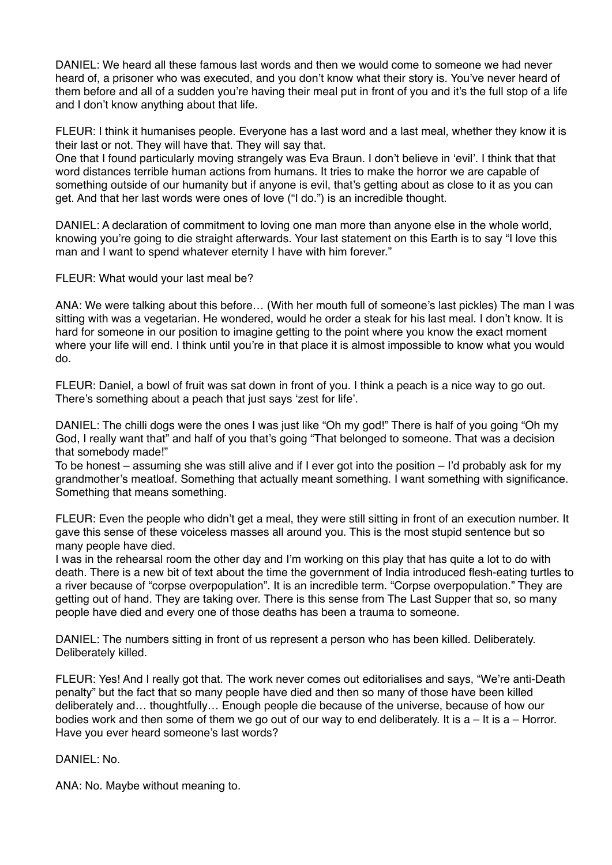DANIEL: We heard all these famous last words and then we would come to someone we had never heard of, a prisoner who was executed, and you don't know what their story is. You've never heard of them before and all of a sudden you're having their meal put in front of you and it's the full stop of a life and I don't know anything about that life.

FLEUR: I think it humanises people. Everyone has a last word and a last meal, whether they know it is their last or not. They will have that. They will say that.

One that I found particularly moving strangely was Eva Braun. I don't believe in 'evil'. I think that that word distances terrible human actions from humans. It tries to make the horror we are capable of something outside of our humanity but if anyone is evil, that's getting about as close to it as you can get. And that her last words were ones of love ("I do.") is an incredible thought.

DANIEL: A declaration of commitment to loving one man more than anyone else in the whole world, knowing you're going to die straight afterwards. Your last statement on this Earth is to say "I love this man and I want to spend whatever eternity I have with him forever."

FLEUR: What would your last meal be?

ANA: We were talking about this before… (With her mouth full of someone's last pickles) The man I was sitting with was a vegetarian. He wondered, would he order a steak for his last meal. I don't know. It is hard for someone in our position to imagine getting to the point where you know the exact moment where your life will end. I think until you're in that place it is almost impossible to know what you would do.

FLEUR: Daniel, a bowl of fruit was sat down in front of you. I think a peach is a nice way to go out. There's something about a peach that just says 'zest for life'.

DANIEL: The chilli dogs were the ones I was just like "Oh my god!" There is half of you going "Oh my God, I really want that" and half of you that's going "That belonged to someone. That was a decision that somebody made!"

To be honest – assuming she was still alive and if I ever got into the position – I'd probably ask for my grandmother's meatloaf. Something that actually meant something. I want something with significance. Something that means something.

FLEUR: Even the people who didn't get a meal, they were still sitting in front of an execution number. It gave this sense of these voiceless masses all around you. This is the most stupid sentence but so many people have died.

I was in the rehearsal room the other day and I'm working on this play that has quite a lot to do with death. There is a new bit of text about the time the government of India introduced flesh-eating turtles to a river because of "corpse overpopulation". It is an incredible term. "Corpse overpopulation." They are getting out of hand. They are taking over. There is this sense from The Last Supper that so, so many people have died and every one of those deaths has been a trauma to someone.

DANIEL: The numbers sitting in front of us represent a person who has been killed. Deliberately. Deliberately killed.

FLEUR: Yes! And I really got that. The work never comes out editorialises and says, "We're anti-Death penalty" but the fact that so many people have died and then so many of those have been killed deliberately and… thoughtfully… Enough people die because of the universe, because of how our bodies work and then some of them we go out of our way to end deliberately. It is  $a - It$  is a – Horror. Have you ever heard someone's last words?

DANIEL: No.

ANA: No. Maybe without meaning to.